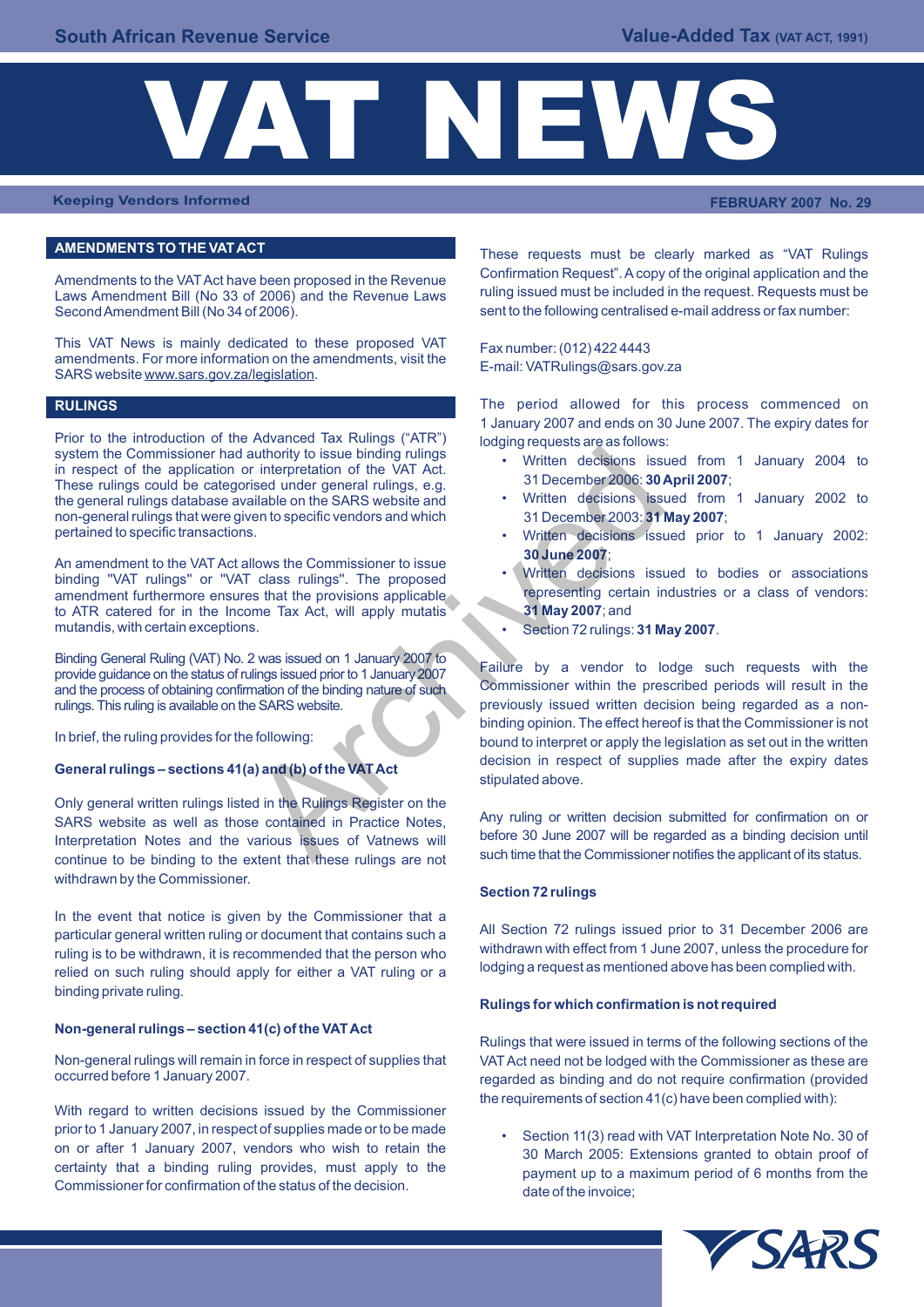

**Keeping Vendors Informed FEBRUARY 2007 No. 29**

## **AMENDMENTS TO THE VAT ACT**

Laws Amendment Bill (No 33 of 2006) and the Revenue Laws Second Amendment Bill (No 34 of 2006).

This VAT News is mainly dedicated to these proposed VAT  $Fax number: (012) 422 4443$ amendments. For more information on the amendments, visit the E-mail: VATRulings@sars.gov.za<br>SARS website www.sars.gov.za/legislation.

#### **RULINGS**

Prior to the introduction of the Advanced Tax Rulings ("ATR") lodging requests are as follows:<br>system the Commissioner had authority to issue binding rulings system the Commissioner had authority to issue binding rulings<br>in respect of the application or interpretation of the VAT Act.<br>These rulings could be attending under general rulings e.g. 31 December 2006: **30 April 2007**: These rulings could be categorised under general rulings, e.g. **31 December 2006: 30 April 2007**;<br>the general rulings database available on the SARS website and **the very argument of the seneral rulings** database available the general rulings database available on the SARS website and virtue decisions issued from non-general rulings that were given to specific vendors and which 31 December 2003: **31 May 2007**; non-general rulings that were given to specific vendors and which pertained to specific transactions.

An amendment to the VAT Act allows the Commissioner to issue<br>binding "VAT rulings" or "VAT class rulings". The proposed<br>amendment furthermore ensures that the provisions applicable amendment furthermore ensures that the provisions applicable representing certain industries or a class of ventors:  $\frac{1}{2}$  and the ATR catered for in the Income Tax Act, will apply mutatis **31 May 2007**; and to ATR catered for in the Income Tax Act, will apply mutatis mutandis, with certain exceptions.

Binding General Ruling (VAT) No. 2 was issued on 1 January 2007 to<br>provide guidance on the status of rulings issued prior to 1 January 2007<br>and the process of obtaining confirmation of the binding nature of such Commission and the process of obtaining confirmation of the binding nature of such rulings. This ruling is available on the SARS website. **previously issued written decision being regarded as a non-**

Only general written rulings listed in the Rulings Register on the SARS website as well as those contained in Practice Notes,<br>Interpretation Notes and the various issues of Vatnews will before 30 June 2007 will be regarded as a binding decision until Interpretation Notes and the various issues of Vatnews will be before 30 June 2007 will be regarded as a binding decision until<br>Interpretation Notes and the extent that these rulings are not such time that the Commissioner continue to be binding to the extent that these rulings are not withdrawn by the Commissioner.

In the event that notice is given by the Commissioner that a particular general written ruling or document that contains such a<br>
Withdrawn with effect from 1 June 2007, unless the procedure for<br>
Withdrawn with effect from 1 June 2007, unless the procedure for ruling is to be withdrawn, it is recommended that the person who withdrawn with effect from 1 June 2007, unless the procedure for ruling is to be withdrawn, it is recommended that the person who lodging a request as mentio relied on such ruling should apply for either a VAT ruling or a binding private ruling.

#### **Non-general rulings – section 41(c) of the VAT Act**

With regard to written decisions issued by the Commissioner prior to 1 January 2007, in respect of supplies made or to be made<br>on or after 1 January 2007, vendors who wish to retain the<br>20 March 2005: Extensions grapted to obtain proof of on or after 1 January 2007, vendors who wish to retain the 30 March 2005: Extensions granted to obtain proof of<br>certainty that a binding ruling provides, must apply to the services assument up to a maximum paried of 6 mant Commissioner for confirmation of the status of the decision. date of the invoice;

These requests must be clearly marked as "VAT Rulings Amendments to the VAT Act have been proposed in the Revenue<br>Laws Amendment Bill (No.33 of 2006) and the Revenue Laws ruling issued must be included in the request. Requests must be sent to the following centralised e-mail address or fax number:

The period allowed for this process commenced on 1 January 2007 and ends on 30 June 2007. The expiry dates for

- 
- 
- Written decisions issued prior to 1 January 2002: **30 June 2007**;
- 
- Section 72 rulings: 31 May 2007.

binding opinion. The effect hereof is that the Commissioner is not In brief, the ruling provides for the following: bound to interpret or apply the legislation as set out in the written General rulings – sections 41(a) and (b) of the VAT Act decision in respect of supplies made after the expiry dates stipulated above. at the time of the WAT Act and the Rulings Register on the SARS website of the V-14 Act and the Rulings.<br>
Any ruling of the SARS website and<br>
and the SARS website and<br>  $\frac{2007}{30}$  and December 2006: 30<br>
Illows the Commis

#### **Section 72 rulings**

#### **Rulings for which confirmation is not required**

Rulings that were issued in terms of the following sections of the Non-general rulings will remain in force in respect of supplies that VAT Act need not be lodged with the Commissioner as these are occurred before 1 January 2007. regarded as binding and do not require confirmation (provided the requirements of section 41(c) have been complied with):

payment up to a maximum period of 6 months from the